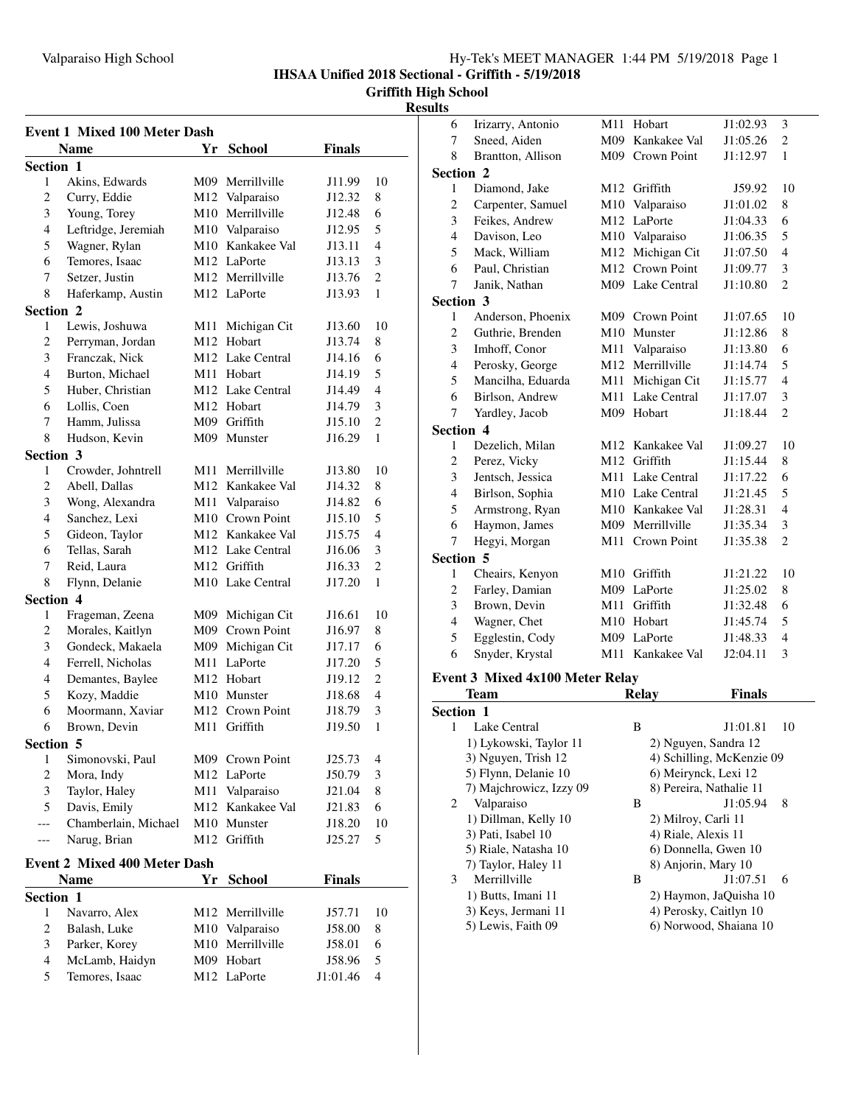**IHSAA Unified 2018 Sectional - Griffith - 5/19/2018**

**Griffith High School**

### **Results**

| <b>Event 1 Mixed 100 Meter Dash</b> |                                     |     |                              |                  |                |  |
|-------------------------------------|-------------------------------------|-----|------------------------------|------------------|----------------|--|
|                                     | <b>Name</b>                         | Yr  | <b>School</b>                | <b>Finals</b>    |                |  |
| Section 1                           |                                     |     |                              |                  |                |  |
| 1                                   | Akins, Edwards                      |     | M09 Merrillville             | J11.99           | 10             |  |
| $\mathbf{2}$                        | Curry, Eddie                        |     | M12 Valparaiso               | J12.32           | 8              |  |
| 3                                   | Young, Torey                        |     | M10 Merrillville             | J12.48           | 6              |  |
| $\overline{4}$                      | Leftridge, Jeremiah                 |     | M10 Valparaiso               | J12.95           | 5              |  |
| 5                                   | Wagner, Rylan                       |     | M10 Kankakee Val             | J13.11           | 4              |  |
| 6                                   | Temores, Isaac                      |     | M12 LaPorte                  | J13.13           | 3              |  |
| 7                                   | Setzer, Justin                      |     | M12 Merrillville             | J13.76           | 2              |  |
| 8                                   | Haferkamp, Austin                   |     | M12 LaPorte                  | J13.93           | 1              |  |
| Section 2                           |                                     |     |                              |                  |                |  |
| 1                                   | Lewis, Joshuwa                      |     | M11 Michigan Cit             | J13.60           | 10             |  |
| 2                                   | Perryman, Jordan                    |     | M12 Hobart                   | J13.74           | 8              |  |
| 3                                   | Franczak, Nick                      |     | M <sub>12</sub> Lake Central | J14.16           | 6              |  |
| 4                                   | Burton, Michael                     |     | M11 Hobart                   | J14.19           | 5              |  |
| 5                                   | Huber, Christian                    |     | M <sub>12</sub> Lake Central | J14.49           | 4              |  |
| 6                                   | Lollis, Coen                        |     | M12 Hobart                   | J14.79           | 3              |  |
| 7                                   | Hamm, Julissa                       |     | M09 Griffith                 | J15.10           | 2              |  |
| 8                                   | Hudson, Kevin                       | M09 | Munster                      | J16.29           | 1              |  |
| Section 3                           |                                     |     |                              |                  |                |  |
| 1                                   | Crowder, Johntrell                  |     | M11 Merrillville             | J13.80           | 10             |  |
| $\overline{c}$                      | Abell, Dallas                       |     | M <sub>12</sub> Kankakee Val | J14.32           | 8              |  |
| 3                                   | Wong, Alexandra                     |     | M11 Valparaiso               | J14.82           | 6              |  |
| $\overline{4}$                      | Sanchez, Lexi                       |     | M10 Crown Point              | J15.10           | 5              |  |
| 5                                   | Gideon, Taylor                      |     | M12 Kankakee Val             | J15.75           | 4              |  |
| 6                                   | Tellas, Sarah                       |     | M12 Lake Central             | J16.06           | 3              |  |
| 7                                   | Reid, Laura                         |     | M12 Griffith                 | J16.33           | 2              |  |
| 8                                   | Flynn, Delanie                      |     | M <sub>10</sub> Lake Central | J17.20           | 1              |  |
| <b>Section 4</b>                    |                                     |     |                              |                  |                |  |
| 1                                   | Frageman, Zeena                     |     | M09 Michigan Cit             | J16.61           | 10             |  |
| $\overline{\mathbf{c}}$             | Morales, Kaitlyn                    |     | M09 Crown Point              | J16.97           | 8              |  |
| 3                                   | Gondeck, Makaela                    |     | M09 Michigan Cit             | J17.17           | 6              |  |
| $\overline{4}$                      | Ferrell, Nicholas                   |     | M11 LaPorte                  | J17.20           | 5              |  |
| $\overline{4}$                      | Demantes, Baylee                    |     | M12 Hobart                   | J19.12           | $\overline{c}$ |  |
| 5                                   | Kozy, Maddie                        |     | M10 Munster                  | J18.68           | $\overline{4}$ |  |
| 6                                   | Moormann, Xaviar                    |     | M <sub>12</sub> Crown Point  | J18.79           | 3              |  |
| 6                                   | Brown, Devin                        |     | M11 Griffith                 | J19.50           | 1              |  |
| Section 5                           |                                     |     |                              |                  |                |  |
| 1                                   | Simonovski, Paul                    |     | M09 Crown Point              | J25.73           | 4              |  |
| $\boldsymbol{2}$                    | Mora, Indy                          |     | M12 LaPorte                  | J50.79           | 3              |  |
| 3                                   | Taylor, Haley                       |     | M11 Valparaiso               | J21.04           | 8              |  |
| 5                                   | Davis, Emily                        | M12 | Kankakee Val                 | J21.83           | 6              |  |
| ---                                 | Chamberlain, Michael                | M10 | Munster                      | J18.20           | 10             |  |
| ---                                 | Narug, Brian                        | M12 | Griffith                     | J25.27           | 5              |  |
|                                     | <b>Event 2 Mixed 400 Meter Dash</b> |     |                              |                  |                |  |
|                                     | <b>Name</b>                         |     |                              |                  |                |  |
| Section 1                           |                                     | Yr  | <b>School</b>                | Finals           |                |  |
| 1                                   | Navarro, Alex                       |     | M12 Merrillville             | J57.71           | 10             |  |
| 2                                   | Balash, Luke                        |     | M10 Valparaiso               |                  | 8              |  |
| 3                                   | Parker, Korey                       |     | M10 Merrillville             | J58.00<br>J58.01 | 6              |  |
| $\overline{4}$                      | McLamb, Haidyn                      |     | M09 Hobart                   | J58.96           | 5              |  |
| 5                                   | Temores, Isaac                      |     | M12 LaPorte                  | J1:01.46         | 4              |  |
|                                     |                                     |     |                              |                  |                |  |

| 6                                      | Irizarry, Antonio | M11 | Hobart                       | J1:02.93      | 3              |  |
|----------------------------------------|-------------------|-----|------------------------------|---------------|----------------|--|
| 7                                      | Sneed, Aiden      | M09 | Kankakee Val                 | J1:05.26      | 2              |  |
| 8                                      | Brantton, Allison | M09 | <b>Crown Point</b>           | J1:12.97      | $\mathbf{1}$   |  |
| <b>Section 2</b>                       |                   |     |                              |               |                |  |
| 1                                      | Diamond, Jake     | M12 | Griffith                     | J59.92        | 10             |  |
| $\overline{c}$                         | Carpenter, Samuel | M10 | Valparaiso                   | J1:01.02      | 8              |  |
| 3                                      | Feikes, Andrew    | M12 | LaPorte                      | J1:04.33      | 6              |  |
| $\overline{4}$                         | Davison, Leo      |     | M10 Valparaiso               | J1:06.35      | 5              |  |
| 5                                      | Mack, William     | M12 | Michigan Cit                 | J1:07.50      | $\overline{4}$ |  |
| 6                                      | Paul, Christian   | M12 | Crown Point                  | J1:09.77      | 3              |  |
| 7                                      | Janik, Nathan     |     | M09 Lake Central             | J1:10.80      | $\overline{c}$ |  |
| Section 3                              |                   |     |                              |               |                |  |
| 1                                      | Anderson, Phoenix |     | M09 Crown Point              | J1:07.65      | 10             |  |
| $\overline{c}$                         | Guthrie, Brenden  |     | M10 Munster                  | J1:12.86      | 8              |  |
| 3                                      | Imhoff, Conor     |     | M11 Valparaiso               | J1:13.80      | 6              |  |
| $\overline{4}$                         | Perosky, George   |     | M12 Merrillville             | J1:14.74      | 5              |  |
| 5                                      | Mancilha, Eduarda | M11 | Michigan Cit                 | J1:15.77      | $\overline{4}$ |  |
| 6                                      | Birlson, Andrew   | M11 | Lake Central                 | J1:17.07      | 3              |  |
| 7                                      | Yardley, Jacob    | M09 | Hobart                       | J1:18.44      | $\overline{c}$ |  |
| <b>Section 4</b>                       |                   |     |                              |               |                |  |
| 1                                      | Dezelich, Milan   |     | M <sub>12</sub> Kankakee Val | J1:09.27      | 10             |  |
| $\overline{c}$                         | Perez, Vicky      |     | M12 Griffith                 | J1:15.44      | 8              |  |
| 3                                      | Jentsch, Jessica  |     | M11 Lake Central             | J1:17.22      | 6              |  |
| 4                                      | Birlson, Sophia   |     | M10 Lake Central             | J1:21.45      | 5              |  |
| 5                                      | Armstrong, Ryan   |     | M10 Kankakee Val             | J1:28.31      | $\overline{4}$ |  |
| 6                                      | Haymon, James     | M09 | Merrillville                 | J1:35.34      | 3              |  |
| 7                                      | Hegyi, Morgan     | M11 | <b>Crown Point</b>           | J1:35.38      | $\overline{c}$ |  |
| Section 5                              |                   |     |                              |               |                |  |
| 1                                      | Cheairs, Kenyon   | M10 | Griffith                     | J1:21.22      | 10             |  |
| $\overline{\mathbf{c}}$                | Farley, Damian    |     | M09 LaPorte                  | J1:25.02      | 8              |  |
| 3                                      | Brown, Devin      | M11 | Griffith                     | J1:32.48      | 6              |  |
| $\overline{\mathcal{L}}$               | Wagner, Chet      | M10 | Hobart                       | J1:45.74      | 5              |  |
| 5                                      | Egglestin, Cody   | M09 | LaPorte                      | J1:48.33      | $\overline{4}$ |  |
| 6                                      | Snyder, Krystal   | M11 | Kankakee Val                 | J2:04.11      | 3              |  |
| <b>Event 3 Mixed 4x100 Meter Relay</b> |                   |     |                              |               |                |  |
|                                        | Team              |     | <b>Relay</b>                 | <b>Finals</b> |                |  |
|                                        |                   |     |                              |               |                |  |

| Team                    | Relay | Finals                    |
|-------------------------|-------|---------------------------|
| <b>Section 1</b>        |       |                           |
| Lake Central<br>1       | B     | J1:01.81<br>10            |
| 1) Lykowski, Taylor 11  |       | 2) Nguyen, Sandra 12      |
| 3) Nguyen, Trish 12     |       | 4) Schilling, McKenzie 09 |
| 5) Flynn, Delanie 10    |       | 6) Meirynck, Lexi 12      |
| 7) Majchrowicz, Izzy 09 |       | 8) Pereira, Nathalie 11   |
| 2<br>Valparaiso         | B     | J1:05.94<br>8             |
| 1) Dillman, Kelly 10    |       | 2) Milroy, Carli 11       |
| 3) Pati, Isabel 10      |       | 4) Riale, Alexis 11       |
| 5) Riale, Natasha 10    |       | 6) Donnella, Gwen 10      |
| 7) Taylor, Haley 11     |       | 8) Anjorin, Mary 10       |
| Merrillville<br>3       | B     | J1:07.51<br>6             |
| 1) Butts, Imani 11      |       | 2) Haymon, JaQuisha 10    |
| 3) Keys, Jermani 11     |       | 4) Perosky, Caitlyn 10    |
| 5) Lewis, Faith 09      |       | 6) Norwood, Shaiana 10    |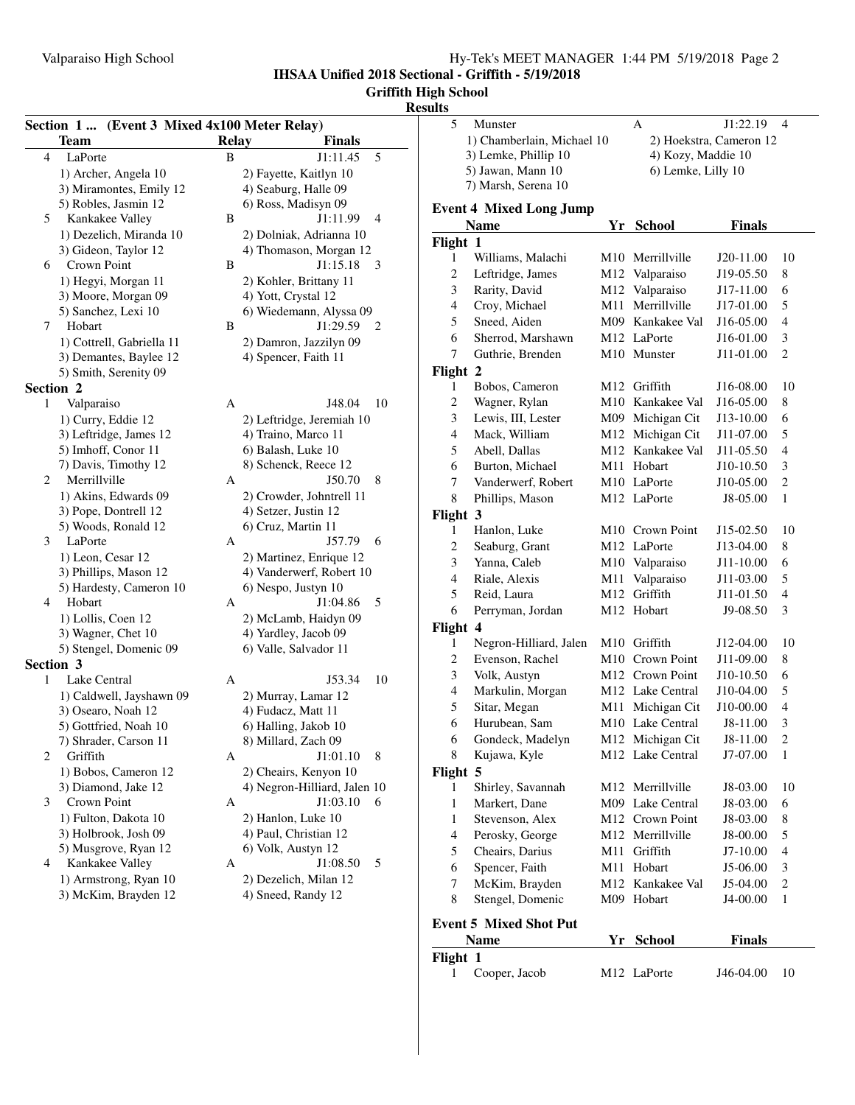**IHSAA Unified 2018 Sectional - Griffith - 5/19/2018**

# **Griffith High School**

## **Results**

| Section 1  (Event 3 Mixed 4x100 Meter Relay)  |              |                                               | 5              | Munster                        | A                  | J1:22.19                | $\overline{4}$                   |
|-----------------------------------------------|--------------|-----------------------------------------------|----------------|--------------------------------|--------------------|-------------------------|----------------------------------|
| <b>Team</b>                                   | <b>Relay</b> | <b>Finals</b>                                 |                | 1) Chamberlain, Michael 10     |                    | 2) Hoekstra, Cameron 12 |                                  |
| LaPorte<br>$\overline{4}$                     | B            | 5<br>J1:11.45                                 |                | 3) Lemke, Phillip 10           | 4) Kozy, Maddie 10 |                         |                                  |
| 1) Archer, Angela 10                          |              | 2) Fayette, Kaitlyn 10                        |                | 5) Jawan, Mann 10              | 6) Lemke, Lilly 10 |                         |                                  |
| 3) Miramontes, Emily 12                       |              | 4) Seaburg, Halle 09                          |                | 7) Marsh, Serena 10            |                    |                         |                                  |
| 5) Robles, Jasmin 12                          |              | 6) Ross, Madisyn 09                           |                | <b>Event 4 Mixed Long Jump</b> |                    |                         |                                  |
| Kankakee Valley<br>5                          | $\, {\bf B}$ | J1:11.99<br>$\overline{4}$                    |                | <b>Name</b>                    | Yr School          | <b>Finals</b>           |                                  |
| 1) Dezelich, Miranda 10                       |              | 2) Dolniak, Adrianna 10                       | Flight 1       |                                |                    |                         |                                  |
| 3) Gideon, Taylor 12                          |              | 4) Thomason, Morgan 12                        | 1              | Williams, Malachi              | M10 Merrillville   | J20-11.00               | 10                               |
| Crown Point<br>6                              | B            | $J1:15.18$ 3                                  | $\overline{c}$ | Leftridge, James               | M12 Valparaiso     | J19-05.50               | $\,8\,$                          |
| 1) Hegyi, Morgan 11<br>3) Moore, Morgan 09    |              | 2) Kohler, Brittany 11<br>4) Yott, Crystal 12 | 3              | Rarity, David                  | M12 Valparaiso     | J17-11.00               | 6                                |
| 5) Sanchez, Lexi 10                           |              | 6) Wiedemann, Alyssa 09                       | 4              | Croy, Michael                  | M11 Merrillville   | J17-01.00               | 5                                |
| Hobart<br>7                                   | B            | $J1:29.59$ 2                                  | 5              | Sneed, Aiden                   | M09 Kankakee Val   | J16-05.00               | $\overline{4}$                   |
| 1) Cottrell, Gabriella 11                     |              | 2) Damron, Jazzilyn 09                        | 6              | Sherrod, Marshawn              | M12 LaPorte        | J16-01.00               | 3                                |
| 3) Demantes, Baylee 12                        |              | 4) Spencer, Faith 11                          | 7              | Guthrie, Brenden               | M10 Munster        | J11-01.00               | 2                                |
| 5) Smith, Serenity 09                         |              |                                               | Flight 2       |                                |                    |                         |                                  |
| Section 2                                     |              |                                               | 1              | Bobos, Cameron                 | M12 Griffith       | J16-08.00               | -10                              |
| Valparaiso<br>$\mathbf{1}$                    | A            | J48.04                                        | 2<br>10        | Wagner, Rylan                  | M10 Kankakee Val   | J16-05.00               | 8                                |
| 1) Curry, Eddie 12                            |              | 2) Leftridge, Jeremiah 10                     | 3              | Lewis, III, Lester             | M09 Michigan Cit   | J13-10.00               | 6                                |
| 3) Leftridge, James 12                        |              | 4) Traino, Marco 11                           | 4              | Mack, William                  | M12 Michigan Cit   | J11-07.00               | 5                                |
| 5) Imhoff, Conor 11                           |              | 6) Balash, Luke 10                            | 5              | Abell, Dallas                  | M12 Kankakee Val   | J11-05.50               | $\overline{4}$                   |
| 7) Davis, Timothy 12                          |              | 8) Schenck, Reece 12                          | 6              | Burton, Michael                | M11 Hobart         | J10-10.50               | 3                                |
| Merrillville<br>2                             | A            | J50.70<br>8                                   | 7              | Vanderwerf, Robert             | M10 LaPorte        | J10-05.00               | 2                                |
| 1) Akins, Edwards 09                          |              | 2) Crowder, Johntrell 11                      | 8              | Phillips, Mason                | M12 LaPorte        | J8-05.00                | -1                               |
| 3) Pope, Dontrell 12                          |              | 4) Setzer, Justin 12                          | Flight 3       |                                |                    |                         |                                  |
| 5) Woods, Ronald 12                           |              | 6) Cruz, Martin 11                            | 1              | Hanlon, Luke                   | M10 Crown Point    | J15-02.50               | 10                               |
| LaPorte<br>3                                  | A            | J57.79 6                                      | $\overline{2}$ | Seaburg, Grant                 | M12 LaPorte        | J13-04.00               | $\,8\,$                          |
| 1) Leon, Cesar 12                             |              | 2) Martinez, Enrique 12                       | 3              | Yanna, Caleb                   | M10 Valparaiso     | J11-10.00               | 6                                |
| 3) Phillips, Mason 12                         |              | 4) Vanderwerf, Robert 10                      | $\overline{4}$ | Riale, Alexis                  | M11 Valparaiso     | J11-03.00               | $\overline{5}$                   |
| 5) Hardesty, Cameron 10                       |              | 6) Nespo, Justyn 10                           | 5              |                                | M12 Griffith       |                         |                                  |
| Hobart<br>4                                   | A            | J1:04.86<br>5                                 |                | Reid, Laura                    | M12 Hobart         | J11-01.50               | $\overline{4}$<br>$\overline{3}$ |
| 1) Lollis, Coen 12                            |              | 2) McLamb, Haidyn 09                          | 6              | Perryman, Jordan               |                    | J9-08.50                |                                  |
| 3) Wagner, Chet 10                            |              | 4) Yardley, Jacob 09                          | Flight 4       |                                |                    |                         |                                  |
| 5) Stengel, Domenic 09                        |              | 6) Valle, Salvador 11                         | 1              | Negron-Hilliard, Jalen         | M10 Griffith       | J12-04.00               | 10                               |
| Section 3                                     |              |                                               | $\overline{c}$ | Evenson, Rachel                | M10 Crown Point    | J11-09.00               | 8                                |
| Lake Central<br>1                             | A            | J53.34                                        | 3<br>10        | Volk, Austyn                   | M12 Crown Point    | J10-10.50               | 6                                |
| 1) Caldwell, Jayshawn 09                      |              | 2) Murray, Lamar 12                           | 4              | Markulin, Morgan               | M12 Lake Central   | J10-04.00               | $\sqrt{5}$                       |
| 3) Osearo, Noah 12                            |              | 4) Fudacz, Matt 11                            | 5              | Sitar, Megan                   | M11 Michigan Cit   | J10-00.00               | $\overline{4}$                   |
| 5) Gottfried, Noah 10                         |              | 6) Halling, Jakob 10                          | 6              | Hurubean, Sam                  | M10 Lake Central   | J8-11.00                | $\overline{3}$                   |
| 7) Shrader, Carson 11                         |              | 8) Millard, Zach 09                           | 6              | Gondeck, Madelyn               | M12 Michigan Cit   | J8-11.00                | $\mathbf{2}$                     |
| 2<br>Griffith                                 | A            | J1:01.10<br>8                                 | 8              | Kujawa, Kyle                   | M12 Lake Central   | J7-07.00                | $\mathbf{1}$                     |
| 1) Bobos, Cameron 12                          |              | 2) Cheairs, Kenyon 10                         | Flight 5       |                                |                    |                         |                                  |
| 3) Diamond, Jake 12                           |              | 4) Negron-Hilliard, Jalen 10                  | 1              | Shirley, Savannah              | M12 Merrillville   | J8-03.00                | 10                               |
| 3<br>Crown Point                              | A            | $J1:03.10$ 6                                  | 1              | Markert, Dane                  | M09 Lake Central   | J8-03.00                | 6                                |
| 1) Fulton, Dakota 10                          |              | 2) Hanlon, Luke 10                            | 1              | Stevenson, Alex                | M12 Crown Point    | J8-03.00                | 8                                |
| 3) Holbrook, Josh 09                          |              | 4) Paul, Christian 12                         | 4              | Perosky, George                | M12 Merrillville   | J8-00.00                | 5                                |
| 5) Musgrove, Ryan 12                          |              | 6) Volk, Austyn 12                            | 5              | Cheairs, Darius                | M11 Griffith       | $J7-10.00$              | $\overline{4}$                   |
| Kankakee Valley<br>4<br>1) Armstrong, Ryan 10 | A            | J1:08.50<br>5                                 | 6              | Spencer, Faith                 | M11 Hobart         | J5-06.00                | $\overline{3}$                   |
| 3) McKim, Brayden 12                          |              | 2) Dezelich, Milan 12                         | 7              | McKim, Brayden                 | M12 Kankakee Val   | J5-04.00                | 2                                |
|                                               |              | 4) Sneed, Randy 12                            | 8              | Stengel, Domenic               | M09 Hobart         | J4-00.00                | $\overline{1}$                   |
|                                               |              |                                               |                | <b>Event 5 Mixed Shot Put</b>  |                    |                         |                                  |
|                                               |              |                                               |                | <b>Name</b>                    | Yr School          | <b>Finals</b>           |                                  |
|                                               |              |                                               | Flight 1       |                                |                    |                         |                                  |
|                                               |              |                                               |                |                                |                    |                         |                                  |

| лідні і |                 |                         |                |  |
|---------|-----------------|-------------------------|----------------|--|
|         | 1 Cooper, Jacob | M <sub>12</sub> LaPorte | $J46-04.00$ 10 |  |